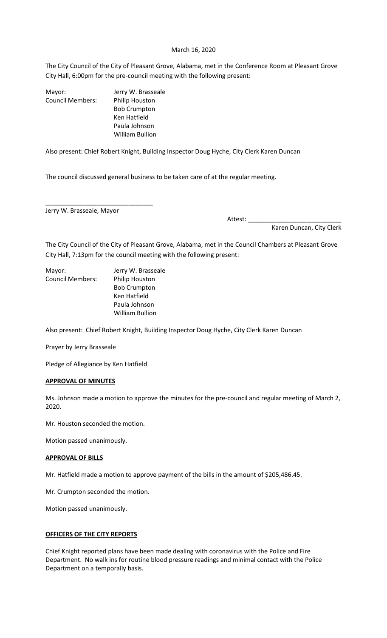#### March 16, 2020

The City Council of the City of Pleasant Grove, Alabama, met in the Conference Room at Pleasant Grove City Hall, 6:00pm for the pre-council meeting with the following present:

|                         | Jerry W. Brasseale  |
|-------------------------|---------------------|
| Mayor:                  |                     |
| <b>Council Members:</b> | Philip Houston      |
|                         | <b>Bob Crumpton</b> |
|                         | Ken Hatfield        |
|                         | Paula Johnson       |
|                         | William Bullion     |

Also present: Chief Robert Knight, Building Inspector Doug Hyche, City Clerk Karen Duncan

The council discussed general business to be taken care of at the regular meeting.

Jerry W. Brasseale, Mayor

\_\_\_\_\_\_\_\_\_\_\_\_\_\_\_\_\_\_\_\_\_\_\_\_\_\_\_\_\_\_\_

Attest: \_\_\_\_\_\_\_\_\_\_\_\_\_\_\_\_\_\_\_\_\_\_\_\_\_\_\_ Karen Duncan, City Clerk

The City Council of the City of Pleasant Grove, Alabama, met in the Council Chambers at Pleasant Grove City Hall, 7:13pm for the council meeting with the following present:

Mayor: Jerry W. Brasseale Council Members: Philip Houston

 Bob Crumpton Ken Hatfield Paula Johnson William Bullion

Also present: Chief Robert Knight, Building Inspector Doug Hyche, City Clerk Karen Duncan

Prayer by Jerry Brasseale

Pledge of Allegiance by Ken Hatfield

#### **APPROVAL OF MINUTES**

Ms. Johnson made a motion to approve the minutes for the pre-council and regular meeting of March 2, 2020.

Mr. Houston seconded the motion.

Motion passed unanimously.

# **APPROVAL OF BILLS**

Mr. Hatfield made a motion to approve payment of the bills in the amount of \$205,486.45.

Mr. Crumpton seconded the motion.

Motion passed unanimously.

# **OFFICERS OF THE CITY REPORTS**

Chief Knight reported plans have been made dealing with coronavirus with the Police and Fire Department. No walk ins for routine blood pressure readings and minimal contact with the Police Department on a temporally basis.